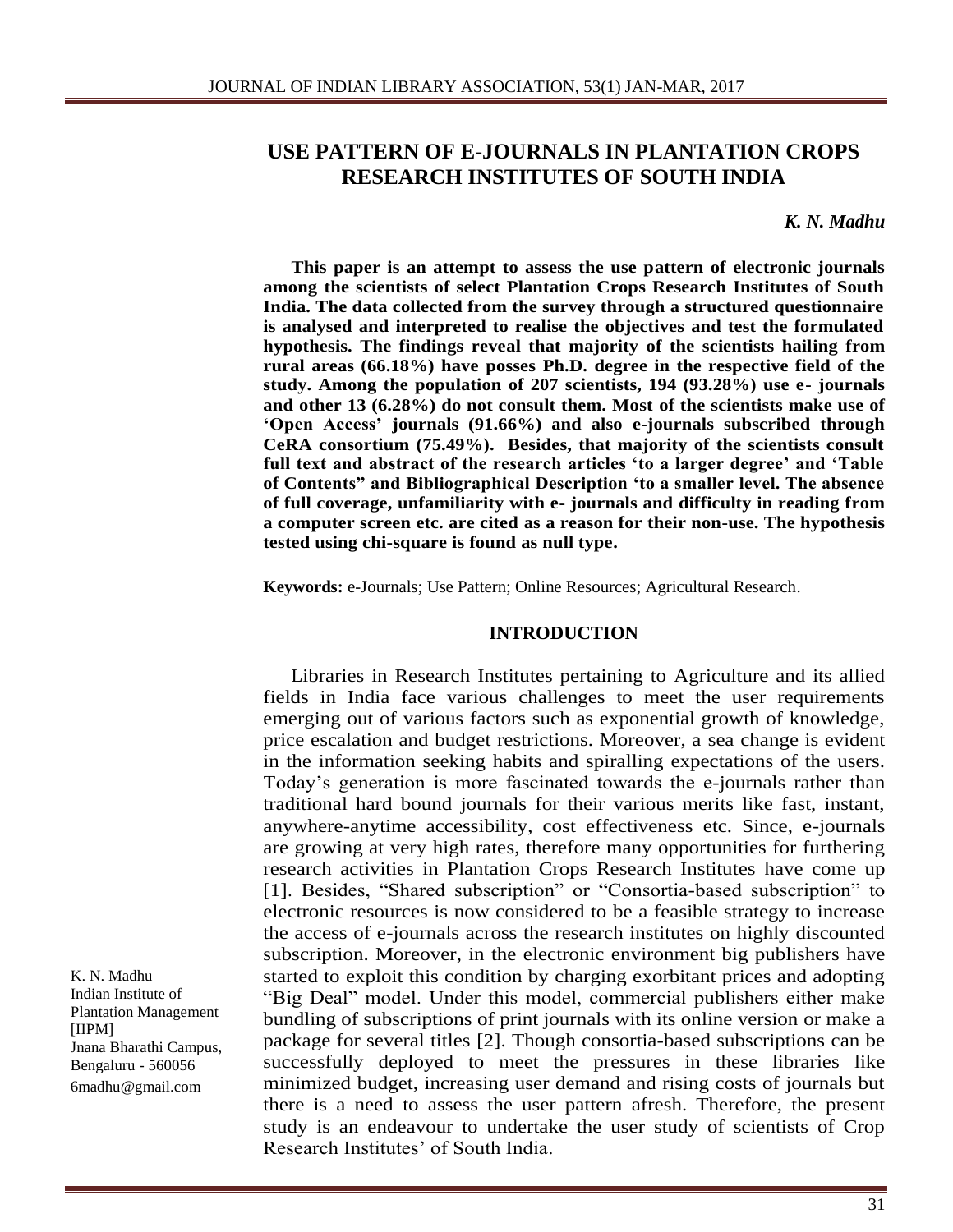# **USE PATTERN OF E-JOURNALS IN PLANTATION CROPS RESEARCH INSTITUTES OF SOUTH INDIA**

*K. N. Madhu*

**This paper is an attempt to assess the use pattern of electronic journals among the scientists of select Plantation Crops Research Institutes of South India. The data collected from the survey through a structured questionnaire is analysed and interpreted to realise the objectives and test the formulated hypothesis. The findings reveal that majority of the scientists hailing from rural areas (66.18%) have posses Ph.D. degree in the respective field of the study. Among the population of 207 scientists, 194 (93.28%) use e- journals and other 13 (6.28%) do not consult them. Most of the scientists make use of 'Open Access' journals (91.66%) and also e-journals subscribed through CeRA consortium (75.49%). Besides, that majority of the scientists consult full text and abstract of the research articles 'to a larger degree' and 'Table of Contents" and Bibliographical Description 'to a smaller level. The absence of full coverage, unfamiliarity with e- journals and difficulty in reading from a computer screen etc. are cited as a reason for their non-use. The hypothesis tested using chi-square is found as null type.**

**Keywords:** e-Journals; Use Pattern; Online Resources; Agricultural Research.

#### **INTRODUCTION**

Libraries in Research Institutes pertaining to Agriculture and its allied fields in India face various challenges to meet the user requirements emerging out of various factors such as exponential growth of knowledge, price escalation and budget restrictions. Moreover, a sea change is evident in the information seeking habits and spiralling expectations of the users. Today's generation is more fascinated towards the e-journals rather than traditional hard bound journals for their various merits like fast, instant, anywhere-anytime accessibility, cost effectiveness etc. Since, e-journals are growing at very high rates, therefore many opportunities for furthering research activities in Plantation Crops Research Institutes have come up [1]. Besides, "Shared subscription" or "Consortia-based subscription" to electronic resources is now considered to be a feasible strategy to increase the access of e-journals across the research institutes on highly discounted subscription. Moreover, in the electronic environment big publishers have started to exploit this condition by charging exorbitant prices and adopting "Big Deal" model. Under this model, commercial publishers either make bundling of subscriptions of print journals with its online version or make a package for several titles [2]. Though consortia-based subscriptions can be successfully deployed to meet the pressures in these libraries like minimized budget, increasing user demand and rising costs of journals but there is a need to assess the user pattern afresh. Therefore, the present study is an endeavour to undertake the user study of scientists of Crop Research Institutes' of South India.

K. N. Madhu Indian Institute of Plantation Management [IIPM] Jnana Bharathi Campus, Bengaluru - 560056 6madhu@gmail.com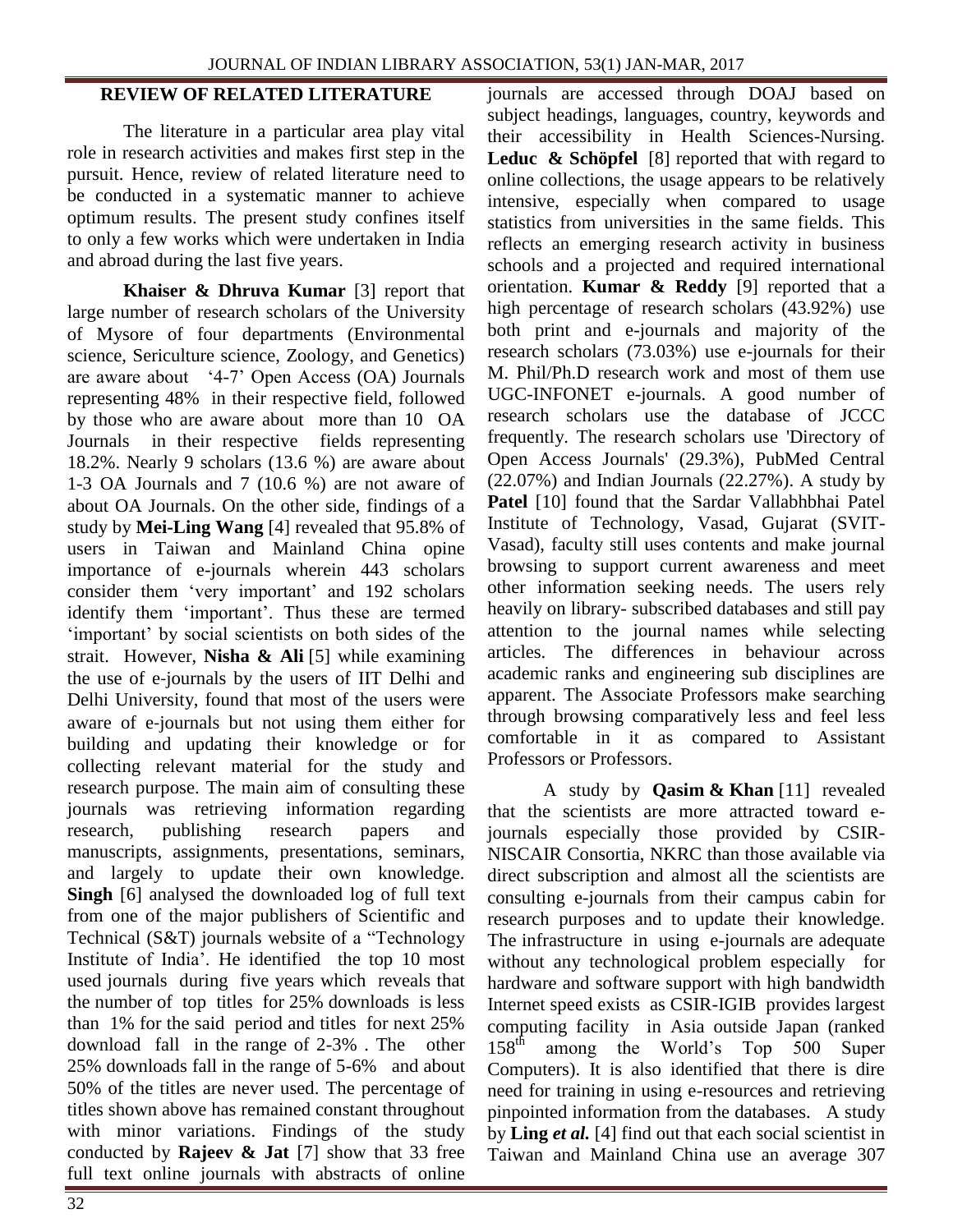### **REVIEW OF RELATED LITERATURE**

The literature in a particular area play vital role in research activities and makes first step in the pursuit. Hence, review of related literature need to be conducted in a systematic manner to achieve optimum results. The present study confines itself to only a few works which were undertaken in India and abroad during the last five years.

**Khaiser & Dhruva Kumar** [3] report that large number of research scholars of the University of Mysore of four departments (Environmental science, Sericulture science, Zoology, and Genetics) are aware about '4-7' Open Access (OA) Journals representing 48% in their respective field, followed by those who are aware about more than 10 OA Journals in their respective fields representing 18.2%. Nearly 9 scholars (13.6 %) are aware about 1-3 OA Journals and 7 (10.6 %) are not aware of about OA Journals. On the other side, findings of a study by **Mei-Ling Wang** [4] revealed that 95.8% of users in Taiwan and Mainland China opine importance of e-journals wherein 443 scholars consider them 'very important' and 192 scholars identify them 'important'. Thus these are termed 'important' by social scientists on both sides of the strait. However, **[Nisha](http://www.emeraldinsight.com/author/Nisha%2C+Faizul) & [Ali](http://www.emeraldinsight.com/author/Ali%2C+Naushad)** [5] while examining the use of e‐journals by the users of IIT Delhi and Delhi University, found that most of the users were aware of e‐journals but not using them either for building and updating their knowledge or for collecting relevant material for the study and research purpose. The main aim of consulting these journals was retrieving information regarding research, publishing research papers and manuscripts, assignments, presentations, seminars, and largely to update their own knowledge. **Singh** [6] analysed the downloaded log of full text from one of the major publishers of Scientific and Technical (S&T) journals website of a "Technology Institute of India'. He identified the top 10 most used journals during five years which reveals that the number of top titles for 25% downloads is less than 1% for the said period and titles for next 25% download fall in the range of 2-3% . The other 25% downloads fall in the range of 5-6% and about 50% of the titles are never used. The percentage of titles shown above has remained constant throughout with minor variations. Findings of the study conducted by **Rajeev & Jat** [7] show that 33 free full text online journals with abstracts of online

journals are accessed through DOAJ based on subject headings, languages, country, keywords and their accessibility in Health Sciences-Nursing. **[Leduc](http://www.emeraldinsight.com/author/Leduc%2C+Claire) [& Schöpfel](http://www.emeraldinsight.com/author/Sch%C3%B6pfel%2C+Joachim)** [8] reported that with regard to online collections, the usage appears to be relatively intensive, especially when compared to usage statistics from universities in the same fields. This reflects an emerging research activity in business schools and a projected and required international orientation. **[Kumar](javascript:doLateralSearch() & [Reddy](javascript:doLateralSearch()** [9] reported that a high percentage of research scholars (43.92%) use both print and e-journals and majority of the research scholars (73.03%) use e-journals for their M. Phil/Ph.D research work and most of them use UGC-INFONET e-journals. A good number of research scholars use the database of JCCC frequently. The research scholars use 'Directory of Open Access Journals' (29.3%), PubMed Central (22.07%) and Indian Journals (22.27%). A study by **[Patel](javascript:doLateralSearch()** [10] found that the Sardar Vallabhbhai Patel Institute of Technology, Vasad, Gujarat (SVIT-Vasad), faculty still uses contents and make journal browsing to support current awareness and meet other information seeking needs. The users rely heavily on library- subscribed databases and still pay attention to the journal names while selecting articles. The differences in behaviour across academic ranks and engineering sub disciplines are apparent. The Associate Professors make searching through browsing comparatively less and feel less comfortable in it as compared to Assistant Professors or Professors.

A study by **[Qasim](http://www.emeraldinsight.com/author/Qasim%2C+Jamal) & [Khan](http://www.emeraldinsight.com/author/Khan%2C+Abdul+Mannan)** [11] revealed that the scientists are more attracted toward ejournals especially those provided by CSIR-NISCAIR Consortia, NKRC than those available via direct subscription and almost all the scientists are consulting e-journals from their campus cabin for research purposes and to update their knowledge. The infrastructure in using e-journals are adequate without any technological problem especially for hardware and software support with high bandwidth Internet speed exists as CSIR-IGIB provides largest computing facility in Asia outside Japan (ranked 158<sup>th</sup> among the World's Top 500 Super among the World's Top 500 Super Computers). It is also identified that there is dire need for training in using e-resources and retrieving pinpointed information from the databases. A study by **Ling** *et al.* [4] find out that each social scientist in Taiwan and Mainland China use an average 307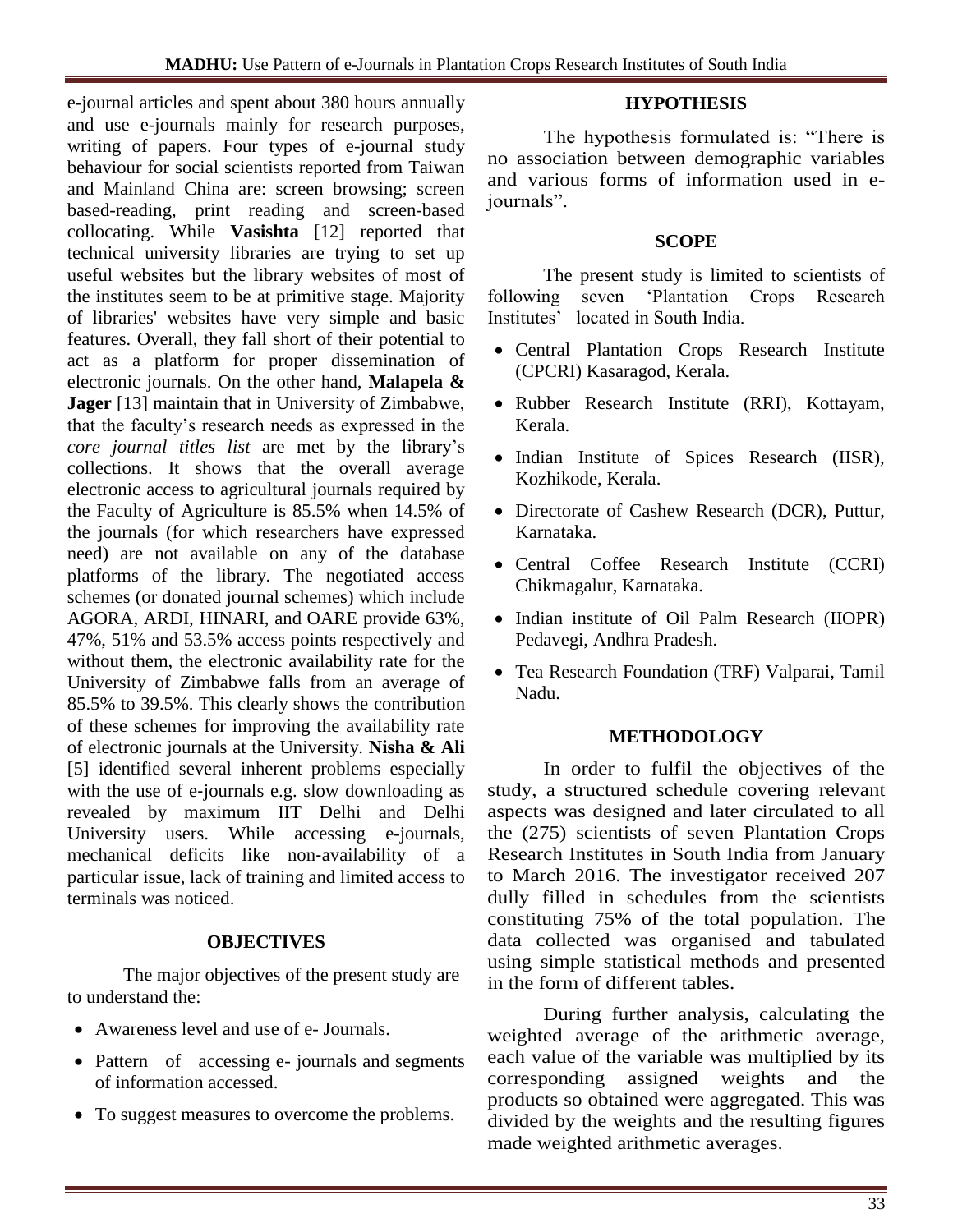e-journal articles and spent about 380 hours annually and use e-journals mainly for research purposes, writing of papers. Four types of e-journal study behaviour for social scientists reported from Taiwan and Mainland China are: screen browsing; screen based-reading, print reading and screen-based collocating. While **[Vasishta](http://www.emeraldinsight.com/author/Vasishta%2C+Seema)** [12] reported that technical university libraries are trying to set up useful websites but the library websites of most of the institutes seem to be at primitive stage. Majority of libraries' websites have very simple and basic features. Overall, they fall short of their potential to act as a platform for proper dissemination of electronic journals. On the other hand, **Malapela & Jager** [13] maintain that in University of Zimbabwe, that the faculty's research needs as expressed in the *core journal titles list* are met by the library's collections. It shows that the overall average electronic access to agricultural journals required by the Faculty of Agriculture is 85.5% when 14.5% of the journals (for which researchers have expressed need) are not available on any of the database platforms of the library. The negotiated access schemes (or donated journal schemes) which include AGORA, ARDI, HINARI, and OARE provide 63%, 47%, 51% and 53.5% access points respectively and without them, the electronic availability rate for the University of Zimbabwe falls from an average of 85.5% to 39.5%. This clearly shows the contribution of these schemes for improving the availability rate of electronic journals at the University. **[Nisha](http://www.emeraldinsight.com/author/Nisha%2C+Faizul) & [Ali](http://www.emeraldinsight.com/author/Ali%2C+Naushad)** [5] identified several inherent problems especially with the use of e-journals e.g. slow downloading as revealed by maximum IIT Delhi and Delhi University users. While accessing e-journals, mechanical deficits like non‐availability of a particular issue, lack of training and limited access to terminals was noticed.

# **OBJECTIVES**

The major objectives of the present study are to understand the:

- Awareness level and use of e- Journals.
- Pattern of accessing e- journals and segments of information accessed.
- To suggest measures to overcome the problems.

# **HYPOTHESIS**

The hypothesis formulated is: "There is no association between demographic variables and various forms of information used in ejournals".

### **SCOPE**

The present study is limited to scientists of following seven 'Plantation Crops Research Institutes' located in South India.

- Central Plantation Crops Research Institute (CPCRI) Kasaragod, Kerala.
- Rubber Research Institute (RRI), Kottayam, Kerala.
- Indian Institute of Spices Research (IISR), Kozhikode, Kerala.
- Directorate of Cashew Research (DCR), Puttur, Karnataka.
- Central Coffee Research Institute (CCRI) Chikmagalur, Karnataka.
- Indian institute of Oil Palm Research (IIOPR) Pedavegi, Andhra Pradesh.
- Tea Research Foundation (TRF) Valparai, Tamil Nadu.

### **METHODOLOGY**

In order to fulfil the objectives of the study, a structured schedule covering relevant aspects was designed and later circulated to all the (275) scientists of seven Plantation Crops Research Institutes in South India from January to March 2016. The investigator received 207 dully filled in schedules from the scientists constituting 75% of the total population. The data collected was organised and tabulated using simple statistical methods and presented in the form of different tables.

During further analysis, calculating the weighted average of the arithmetic average, each value of the variable was multiplied by its corresponding assigned weights and the products so obtained were aggregated. This was divided by the weights and the resulting figures made weighted arithmetic averages.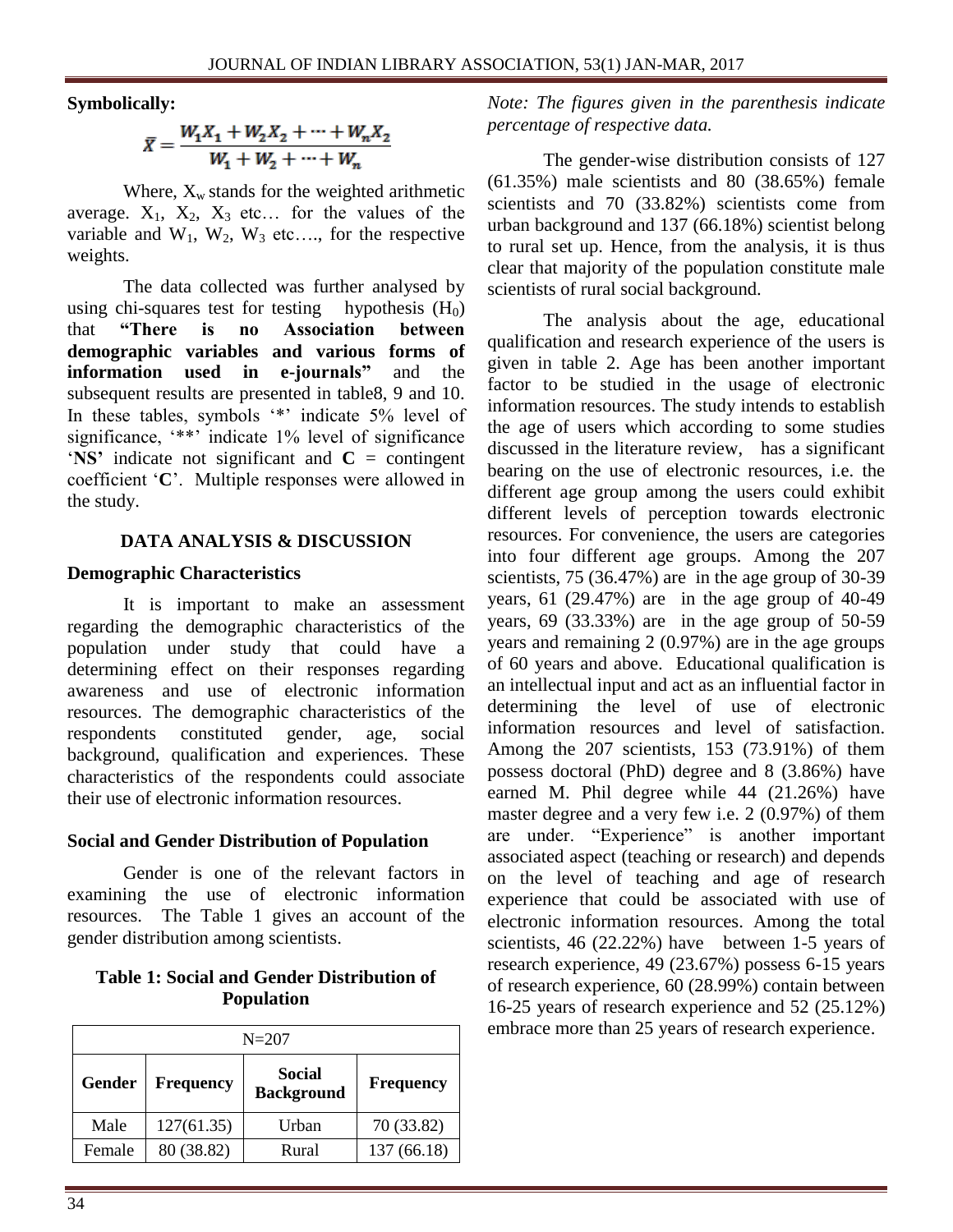#### **Symbolically:**

$$
\bar{X} = \frac{W_1 X_1 + W_2 X_2 + \dots + W_n X_2}{W_1 + W_2 + \dots + W_n}
$$

Where,  $X_w$  stands for the weighted arithmetic average.  $X_1$ ,  $X_2$ ,  $X_3$  etc... for the values of the variable and  $W_1$ ,  $W_2$ ,  $W_3$  etc..., for the respective weights.

The data collected was further analysed by using chi-squares test for testing hypothesis  $(H_0)$ that **"There is no Association between demographic variables and various forms of information used in e-journals"** and the subsequent results are presented in table8, 9 and 10. In these tables, symbols '\*' indicate 5% level of significance, '\*\*' indicate 1% level of significance '**NS'** indicate not significant and **C** = contingent coefficient '**C**'. Multiple responses were allowed in the study.

### **DATA ANALYSIS & DISCUSSION**

### **Demographic Characteristics**

It is important to make an assessment regarding the demographic characteristics of the population under study that could have a determining effect on their responses regarding awareness and use of electronic information resources. The demographic characteristics of the respondents constituted gender, age, social background, qualification and experiences. These characteristics of the respondents could associate their use of electronic information resources.

# **Social and Gender Distribution of Population**

Gender is one of the relevant factors in examining the use of electronic information resources. The Table 1 gives an account of the gender distribution among scientists.

# **Table 1: Social and Gender Distribution of Population**

| $N = 207$ |                  |                                    |                  |  |  |  |
|-----------|------------------|------------------------------------|------------------|--|--|--|
| Gender    | <b>Frequency</b> | <b>Social</b><br><b>Background</b> | <b>Frequency</b> |  |  |  |
| Male      | 127(61.35)       | Urban                              | 70 (33.82)       |  |  |  |
| Female    | 80 (38.82)       | Rural                              | 137 (66.18)      |  |  |  |

*Note: The figures given in the parenthesis indicate percentage of respective data.*

The gender-wise distribution consists of 127 (61.35%) male scientists and 80 (38.65%) female scientists and 70 (33.82%) scientists come from urban background and 137 (66.18%) scientist belong to rural set up. Hence, from the analysis, it is thus clear that majority of the population constitute male scientists of rural social background.

The analysis about the age, educational qualification and research experience of the users is given in table 2. Age has been another important factor to be studied in the usage of electronic information resources. The study intends to establish the age of users which according to some studies discussed in the literature review, has a significant bearing on the use of electronic resources, i.e. the different age group among the users could exhibit different levels of perception towards electronic resources. For convenience, the users are categories into four different age groups. Among the 207 scientists,  $75$  (36.47%) are in the age group of 30-39 years, 61 (29.47%) are in the age group of 40-49 years,  $69$   $(33.33\%)$  are in the age group of  $50-59$ years and remaining 2 (0.97%) are in the age groups of 60 years and above. Educational qualification is an intellectual input and act as an influential factor in determining the level of use of electronic information resources and level of satisfaction. Among the 207 scientists, 153 (73.91%) of them possess doctoral (PhD) degree and 8 (3.86%) have earned M. Phil degree while 44 (21.26%) have master degree and a very few i.e. 2 (0.97%) of them are under. "Experience" is another important associated aspect (teaching or research) and depends on the level of teaching and age of research experience that could be associated with use of electronic information resources. Among the total scientists, 46 (22.22%) have between 1-5 years of research experience, 49 (23.67%) possess 6-15 years of research experience, 60 (28.99%) contain between 16-25 years of research experience and 52 (25.12%) embrace more than 25 years of research experience.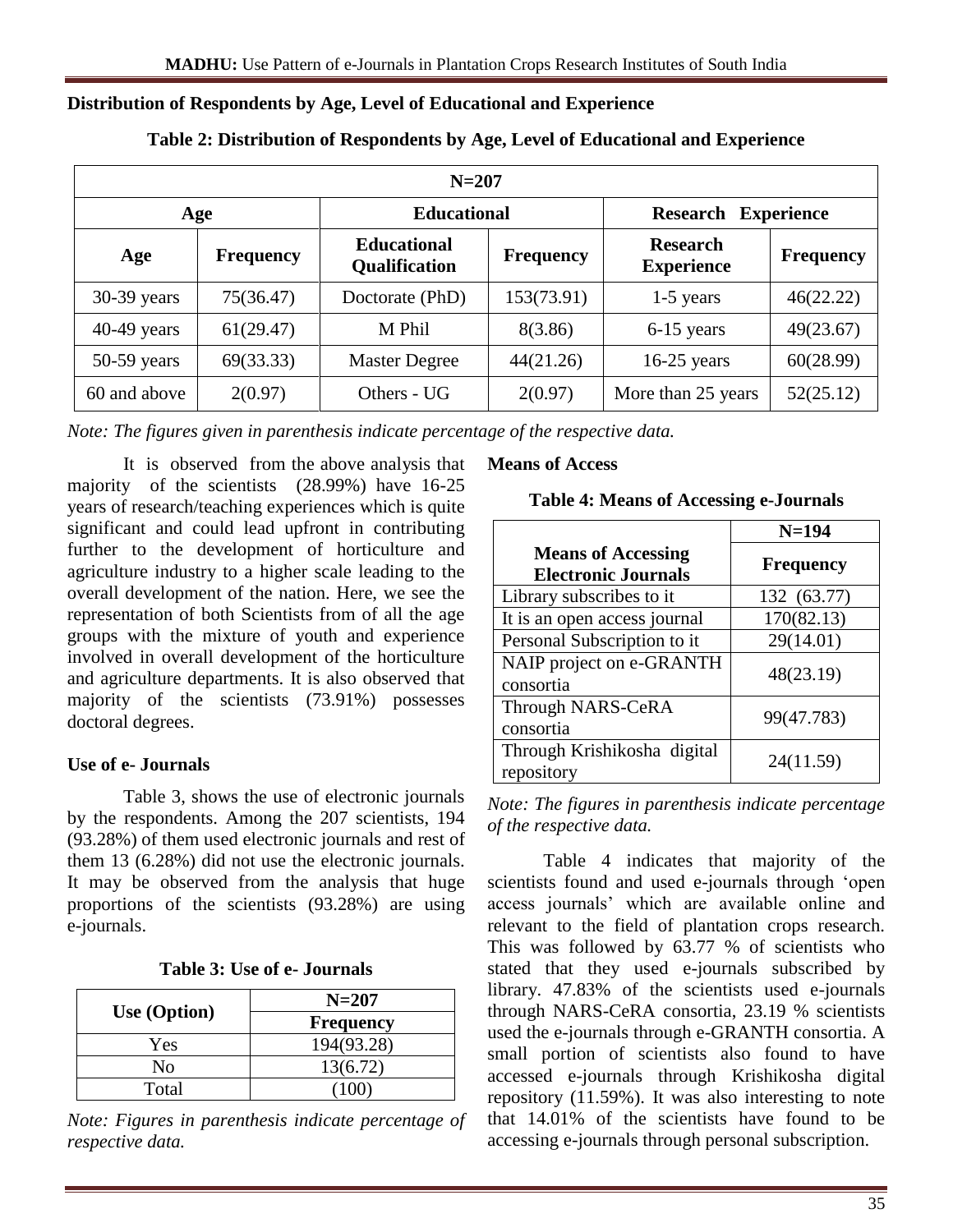### **Distribution of Respondents by Age, Level of Educational and Experience**

| $N = 207$     |                  |                                     |                  |                                      |                  |  |  |  |
|---------------|------------------|-------------------------------------|------------------|--------------------------------------|------------------|--|--|--|
|               | Age              | <b>Educational</b>                  |                  | <b>Research Experience</b>           |                  |  |  |  |
| Age           | <b>Frequency</b> | <b>Educational</b><br>Qualification | <b>Frequency</b> | <b>Research</b><br><b>Experience</b> | <b>Frequency</b> |  |  |  |
| $30-39$ years | 75(36.47)        | Doctorate (PhD)                     | 153(73.91)       | 1-5 years                            | 46(22.22)        |  |  |  |
| $40-49$ years | 61(29.47)        | M Phil                              | 8(3.86)          | 6-15 years                           | 49(23.67)        |  |  |  |
| $50-59$ years | 69(33.33)        | <b>Master Degree</b>                | 44(21.26)        | $16-25$ years                        | 60(28.99)        |  |  |  |
| 60 and above  | 2(0.97)          | Others - UG                         | 2(0.97)          | More than 25 years                   | 52(25.12)        |  |  |  |

#### **Table 2: Distribution of Respondents by Age, Level of Educational and Experience**

*Note: The figures given in parenthesis indicate percentage of the respective data.*

It is observed from the above analysis that majority of the scientists (28.99%) have 16-25 years of research/teaching experiences which is quite significant and could lead upfront in contributing further to the development of horticulture and agriculture industry to a higher scale leading to the overall development of the nation. Here, we see the representation of both Scientists from of all the age groups with the mixture of youth and experience involved in overall development of the horticulture and agriculture departments. It is also observed that majority of the scientists (73.91%) possesses doctoral degrees.

# **Use of e- Journals**

Table 3, shows the use of electronic journals by the respondents. Among the 207 scientists, 194 (93.28%) of them used electronic journals and rest of them 13 (6.28%) did not use the electronic journals. It may be observed from the analysis that huge proportions of the scientists (93.28%) are using e-journals.

| Table 3: Use of e- Journals |  |  |  |  |
|-----------------------------|--|--|--|--|
|-----------------------------|--|--|--|--|

| Use (Option) | $N = 207$        |
|--------------|------------------|
|              | <b>Frequency</b> |
| Yes          | 194(93.28)       |
| Nο           | 13(6.72)         |
| Total        |                  |

*Note: Figures in parenthesis indicate percentage of respective data.*

#### **Means of Access**

#### **Table 4: Means of Accessing e-Journals**

|                                                         | $N=194$          |
|---------------------------------------------------------|------------------|
| <b>Means of Accessing</b><br><b>Electronic Journals</b> | <b>Frequency</b> |
| Library subscribes to it                                | 132 (63.77)      |
| It is an open access journal                            | 170(82.13)       |
| Personal Subscription to it                             | 29(14.01)        |
| NAIP project on e-GRANTH<br>consortia                   | 48(23.19)        |
| Through NARS-CeRA<br>consortia                          | 99(47.783)       |
| Through Krishikosha digital<br>repository               | 24(11.59)        |

*Note: The figures in parenthesis indicate percentage of the respective data.*

Table 4 indicates that majority of the scientists found and used e-journals through 'open access journals' which are available online and relevant to the field of plantation crops research. This was followed by 63.77 % of scientists who stated that they used e-journals subscribed by library. 47.83% of the scientists used e-journals through NARS-CeRA consortia, 23.19 % scientists used the e-journals through e-GRANTH consortia. A small portion of scientists also found to have accessed e-journals through Krishikosha digital repository (11.59%). It was also interesting to note that 14.01% of the scientists have found to be accessing e-journals through personal subscription.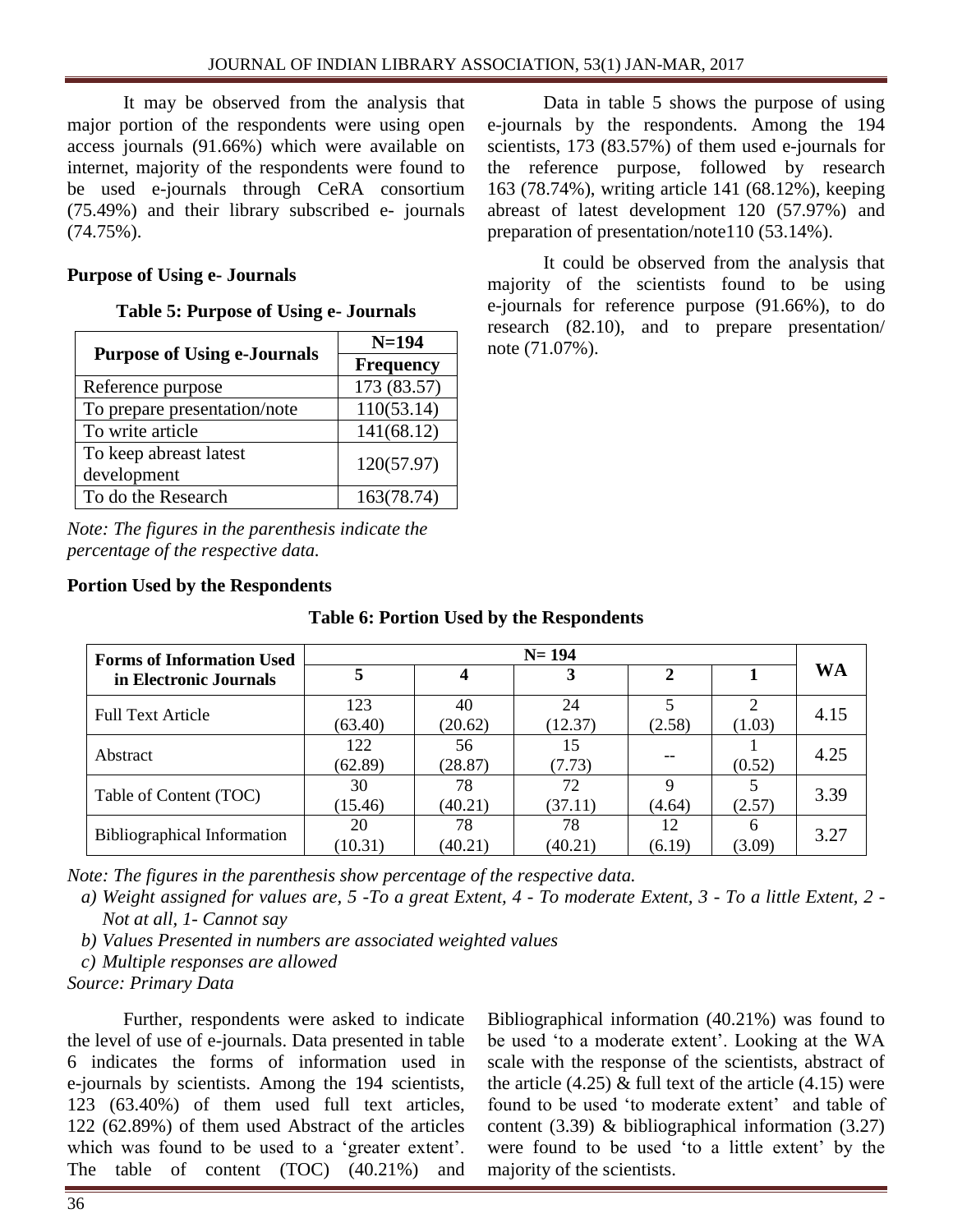It may be observed from the analysis that major portion of the respondents were using open access journals (91.66%) which were available on internet, majority of the respondents were found to be used e-journals through CeRA consortium (75.49%) and their library subscribed e- journals (74.75%).

# **Purpose of Using e- Journals**

|  |  | Table 5: Purpose of Using e- Journals |  |
|--|--|---------------------------------------|--|
|--|--|---------------------------------------|--|

|                                       | $N = 194$        |
|---------------------------------------|------------------|
| <b>Purpose of Using e-Journals</b>    | <b>Frequency</b> |
| Reference purpose                     | 173 (83.57)      |
| To prepare presentation/note          | 110(53.14)       |
| To write article                      | 141(68.12)       |
| To keep abreast latest<br>development | 120(57.97)       |
| To do the Research                    | 163(78.74)       |

*Note: The figures in the parenthesis indicate the percentage of the respective data.*

**Portion Used by the Respondents**

Data in table 5 shows the purpose of using e-journals by the respondents. Among the 194 scientists, 173 (83.57%) of them used e-journals for the reference purpose, followed by research 163 (78.74%), writing article 141 (68.12%), keeping abreast of latest development 120 (57.97%) and preparation of presentation/note110 (53.14%).

It could be observed from the analysis that majority of the scientists found to be using e-journals for reference purpose (91.66%), to do research (82.10), and to prepare presentation/ note (71.07%).

| <b>Forms of Information Used</b>   | $N = 194$      |               |               |                                    |             |      |  |
|------------------------------------|----------------|---------------|---------------|------------------------------------|-------------|------|--|
| in Electronic Journals             | 3              |               |               |                                    | WA          |      |  |
| <b>Full Text Article</b>           | 123<br>(63.40) | 40<br>(20.62) | 24<br>(12.37) | $\overline{\phantom{0}}$<br>(2.58) | 2<br>(1.03) | 4.15 |  |
| Abstract                           | 122<br>(62.89) | 56<br>(28.87) | 15<br>(7.73)  |                                    | (0.52)      | 4.25 |  |
| Table of Content (TOC)             | 30<br>(15.46)  | 78<br>(40.21) | 72<br>(37.11) | 9<br>(4.64)                        | (2.57)      | 3.39 |  |
| <b>Bibliographical Information</b> | 20<br>(10.31)  | 78<br>(40.21) | 78<br>(40.21) | 12<br>(6.19)                       | 6<br>(3.09) | 3.27 |  |

# **Table 6: Portion Used by the Respondents**

*Note: The figures in the parenthesis show percentage of the respective data.*

*a) Weight assigned for values are, 5 -To a great Extent, 4 - To moderate Extent, 3 - To a little Extent, 2 - Not at all, 1- Cannot say*

*b) Values Presented in numbers are associated weighted values*

*c) Multiple responses are allowed* 

*Source: Primary Data*

Further, respondents were asked to indicate the level of use of e-journals. Data presented in table 6 indicates the forms of information used in e-journals by scientists. Among the 194 scientists, 123 (63.40%) of them used full text articles, 122 (62.89%) of them used Abstract of the articles which was found to be used to a 'greater extent'. The table of content (TOC) (40.21%) and Bibliographical information (40.21%) was found to be used 'to a moderate extent'. Looking at the WA scale with the response of the scientists, abstract of the article  $(4.25)$  & full text of the article  $(4.15)$  were found to be used 'to moderate extent' and table of content (3.39) & bibliographical information (3.27) were found to be used 'to a little extent' by the majority of the scientists.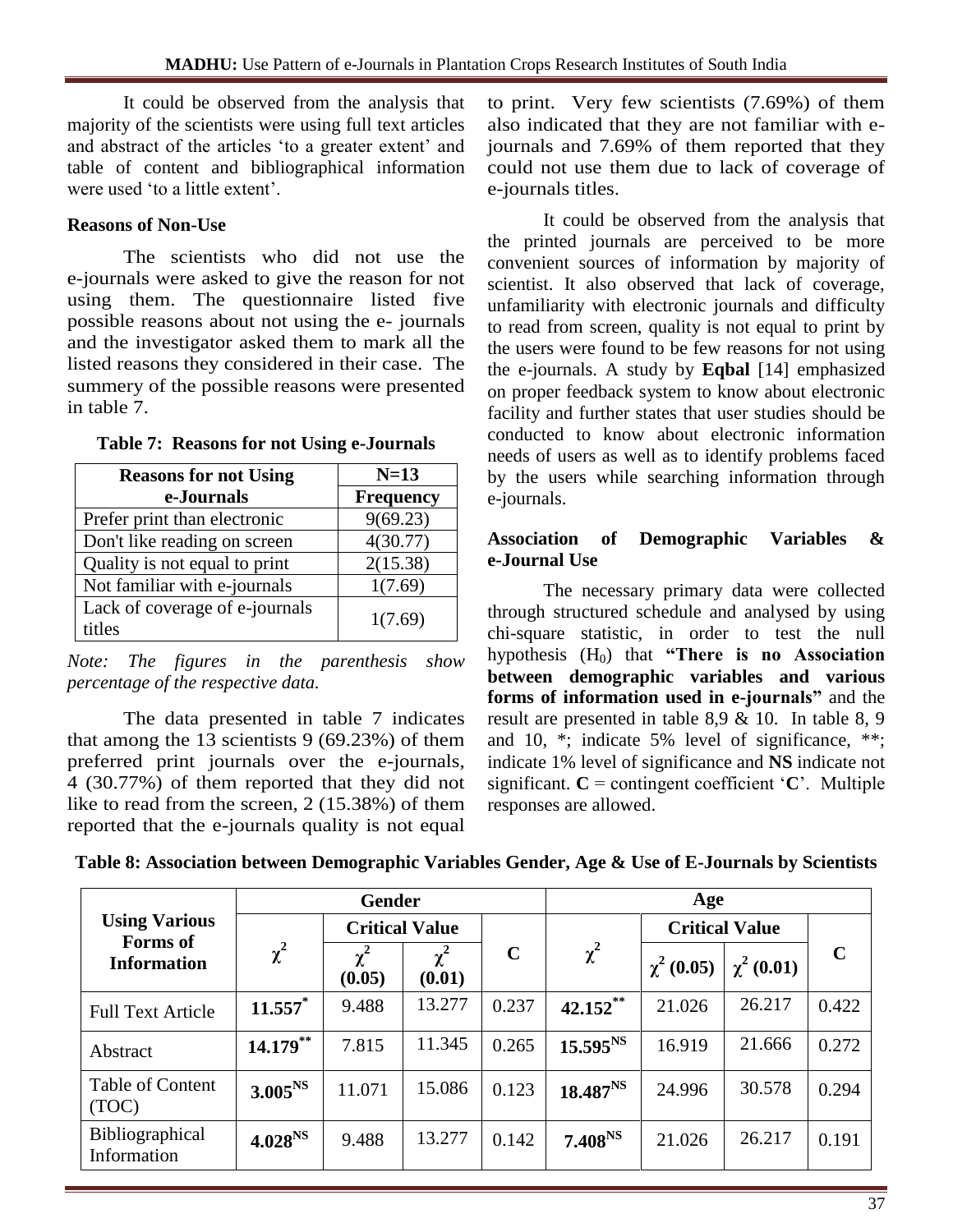It could be observed from the analysis that majority of the scientists were using full text articles and abstract of the articles 'to a greater extent' and table of content and bibliographical information were used 'to a little extent'.

# **Reasons of Non-Use**

The scientists who did not use the e-journals were asked to give the reason for not using them. The questionnaire listed five possible reasons about not using the e- journals and the investigator asked them to mark all the listed reasons they considered in their case. The summery of the possible reasons were presented in table 7.

| <b>Reasons for not Using</b>             | $N=13$           |
|------------------------------------------|------------------|
| e-Journals                               | <b>Frequency</b> |
| Prefer print than electronic             | 9(69.23)         |
| Don't like reading on screen             | 4(30.77)         |
| Quality is not equal to print            | 2(15.38)         |
| Not familiar with e-journals             | 1(7.69)          |
| Lack of coverage of e-journals<br>titles | 1(7.69)          |

#### **Table 7: Reasons for not Using e-Journals**

*Note: The figures in the parenthesis show percentage of the respective data.*

The data presented in table 7 indicates that among the  $13$  scientists 9 (69.23%) of them preferred print journals over the e-journals, 4 (30.77%) of them reported that they did not like to read from the screen, 2 (15.38%) of them reported that the e-journals quality is not equal

to print. Very few scientists (7.69%) of them also indicated that they are not familiar with ejournals and 7.69% of them reported that they could not use them due to lack of coverage of e-journals titles.

It could be observed from the analysis that the printed journals are perceived to be more convenient sources of information by majority of scientist. It also observed that lack of coverage, unfamiliarity with electronic journals and difficulty to read from screen, quality is not equal to print by the users were found to be few reasons for not using the e-journals. A study by **Eqbal** [14] emphasized on proper feedback system to know about electronic facility and further states that user studies should be conducted to know about electronic information needs of users as well as to identify problems faced by the users while searching information through e-journals.

### **Association of Demographic Variables & e-Journal Use**

The necessary primary data were collected through structured schedule and analysed by using chi-square statistic, in order to test the null hypothesis (H0) that **"There is no Association between demographic variables and various forms of information used in e-journals"** and the result are presented in table 8,9 & 10. In table 8, 9 and 10, \*; indicate 5% level of significance, \*\*; indicate 1% level of significance and **NS** indicate not significant.  $C =$  contingent coefficient  $C^*$ . Multiple responses are allowed.

| Table 8: Association between Demographic Variables Gender, Age & Use of E-Journals by Scientists |  |  |
|--------------------------------------------------------------------------------------------------|--|--|
|--------------------------------------------------------------------------------------------------|--|--|

|                                       | <b>Gender</b>       |                       |                    |             | Age                    |                |                       |             |
|---------------------------------------|---------------------|-----------------------|--------------------|-------------|------------------------|----------------|-----------------------|-------------|
| <b>Using Various</b>                  |                     | <b>Critical Value</b> |                    |             |                        |                | <b>Critical Value</b> |             |
| <b>Forms</b> of<br><b>Information</b> | $\chi^2$            | $\chi^2$<br>(0.05)    | $\chi^2$<br>(0.01) | $\mathbf C$ | $\chi^2$               | $\chi^2(0.05)$ | $\chi^2(0.01)$        | $\mathbf C$ |
| <b>Full Text Article</b>              | $11.557$ *          | 9.488                 | 13.277             | 0.237       | $42.152$ <sup>**</sup> | 21.026         | 26.217                | 0.422       |
| Abstract                              | $14.179***$         | 7.815                 | 11.345             | 0.265       | $15.595^{NS}$          | 16.919         | 21.666                | 0.272       |
| Table of Content<br>(TOC)             | 3.005 <sup>NS</sup> | 11.071                | 15.086             | 0.123       | $18.487^{N.S}$         | 24.996         | 30.578                | 0.294       |
| Bibliographical<br>Information        | 4.028 <sup>NS</sup> | 9.488                 | 13.277             | 0.142       | $7.408^{NS}$           | 21.026         | 26.217                | 0.191       |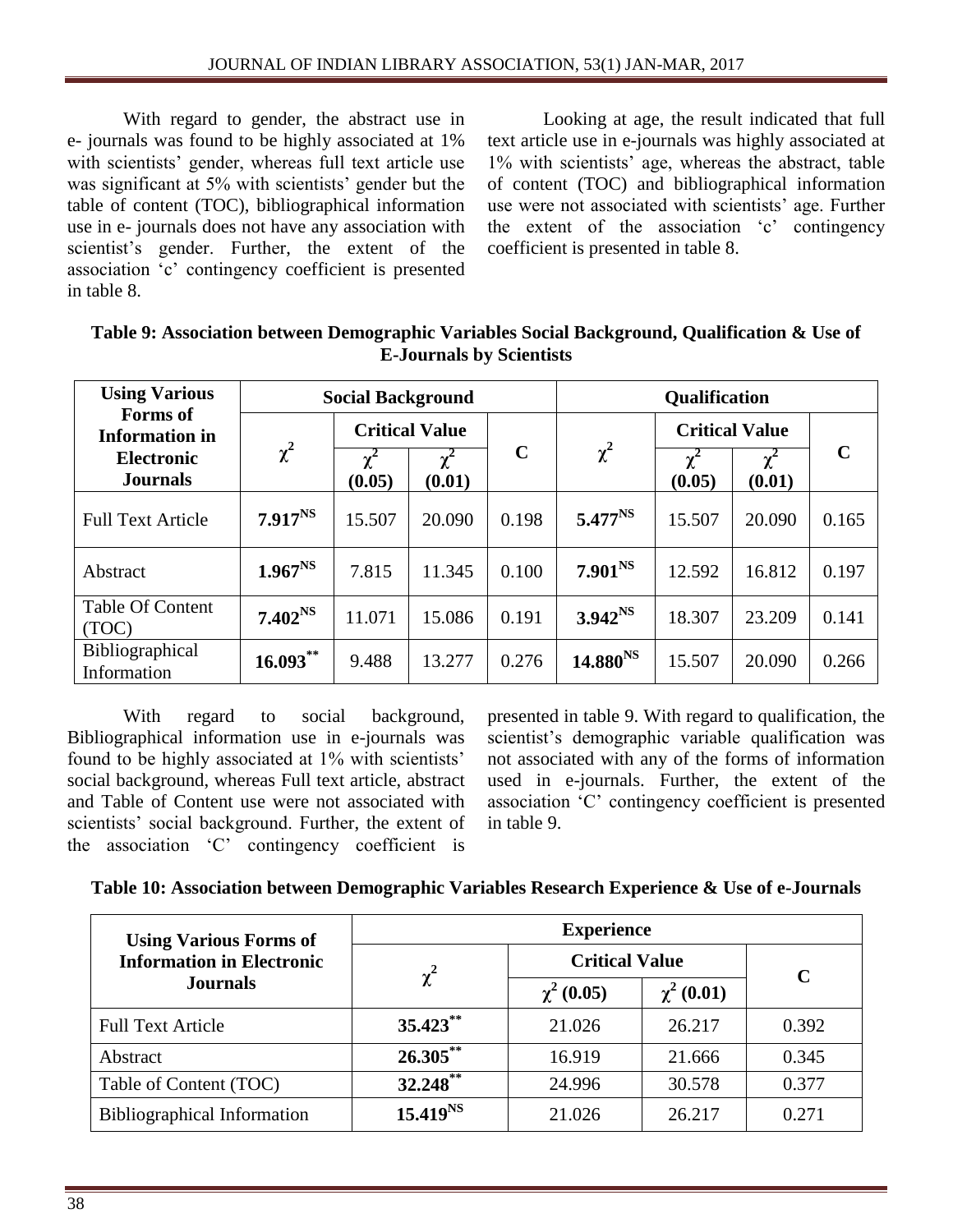With regard to gender, the abstract use in e- journals was found to be highly associated at 1% with scientists' gender, whereas full text article use was significant at 5% with scientists' gender but the table of content (TOC), bibliographical information use in e- journals does not have any association with scientist's gender. Further, the extent of the association 'c' contingency coefficient is presented in table 8.

Looking at age, the result indicated that full text article use in e-journals was highly associated at 1% with scientists' age, whereas the abstract, table of content (TOC) and bibliographical information use were not associated with scientists' age. Further the extent of the association 'c' contingency coefficient is presented in table 8.

| <b>Using Various</b>                     |              |                       | <b>Social Background</b> |             | <b>Qualification</b> |                       |                    |             |
|------------------------------------------|--------------|-----------------------|--------------------------|-------------|----------------------|-----------------------|--------------------|-------------|
| <b>Forms</b> of<br><b>Information</b> in |              | <b>Critical Value</b> |                          |             |                      | <b>Critical Value</b> |                    |             |
| <b>Electronic</b><br><b>Journals</b>     | $\chi^2$     | $\chi^2$<br>(0.05)    | $\chi^2$<br>(0.01)       | $\mathbf C$ | $\chi^2$             | $\chi^2$<br>(0.05)    | $\chi^2$<br>(0.01) | $\mathbf C$ |
| <b>Full Text Article</b>                 | $7.917^{NS}$ | 15.507                | 20.090                   | 0.198       | $5.477^{NS}$         | 15.507                | 20.090             | 0.165       |
| Abstract                                 | $1.967^{NS}$ | 7.815                 | 11.345                   | 0.100       | $7.901^{NS}$         | 12.592                | 16.812             | 0.197       |
| <b>Table Of Content</b><br>(TOC)         | $7.402^{NS}$ | 11.071                | 15.086                   | 0.191       | $3.942^{NS}$         | 18.307                | 23.209             | 0.141       |
| Bibliographical<br>Information           | $16.093***$  | 9.488                 | 13.277                   | 0.276       | $14.880^{NS}$        | 15.507                | 20.090             | 0.266       |

### **Table 9: Association between Demographic Variables Social Background, Qualification & Use of E-Journals by Scientists**

With regard to social background, Bibliographical information use in e-journals was found to be highly associated at 1% with scientists' social background, whereas Full text article, abstract and Table of Content use were not associated with scientists' social background. Further, the extent of the association 'C' contingency coefficient is presented in table 9. With regard to qualification, the scientist's demographic variable qualification was not associated with any of the forms of information used in e-journals. Further, the extent of the association 'C' contingency coefficient is presented in table 9.

| Table 10: Association between Demographic Variables Research Experience & Use of e-Journals |  |  |  |  |  |  |  |  |  |  |  |  |  |  |  |
|---------------------------------------------------------------------------------------------|--|--|--|--|--|--|--|--|--|--|--|--|--|--|--|
|---------------------------------------------------------------------------------------------|--|--|--|--|--|--|--|--|--|--|--|--|--|--|--|

| <b>Using Various Forms of</b>      | <b>Experience</b> |                       |                |       |  |  |  |  |  |
|------------------------------------|-------------------|-----------------------|----------------|-------|--|--|--|--|--|
| <b>Information in Electronic</b>   |                   | <b>Critical Value</b> |                |       |  |  |  |  |  |
| <b>Journals</b>                    | $\chi^2$          | $\chi^2$ (0.05)       | $\chi^2(0.01)$ | C     |  |  |  |  |  |
| <b>Full Text Article</b>           | $35.423**$        | 21.026                | 26.217         | 0.392 |  |  |  |  |  |
| Abstract                           | $26.305***$       | 16.919                | 21.666         | 0.345 |  |  |  |  |  |
| Table of Content (TOC)             | $32.248$ **       | 24.996                | 30.578         | 0.377 |  |  |  |  |  |
| <b>Bibliographical Information</b> | $15.419^{NS}$     | 21.026                | 26.217         | 0.271 |  |  |  |  |  |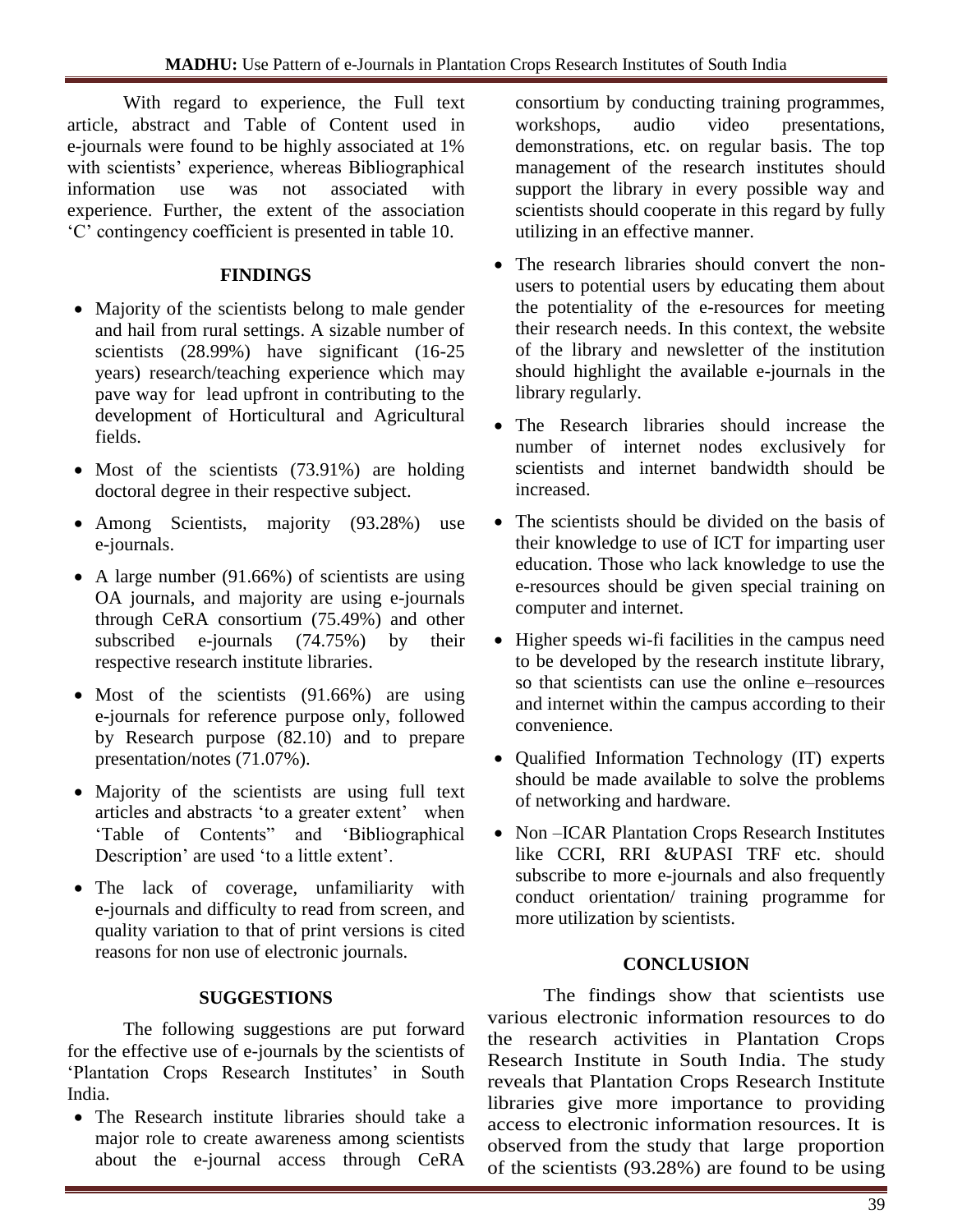With regard to experience, the Full text article, abstract and Table of Content used in e-journals were found to be highly associated at 1% with scientists' experience, whereas Bibliographical information use was not associated with experience. Further, the extent of the association 'C' contingency coefficient is presented in table 10.

# **FINDINGS**

- Majority of the scientists belong to male gender and hail from rural settings. A sizable number of scientists (28.99%) have significant (16-25 years) research/teaching experience which may pave way for lead upfront in contributing to the development of Horticultural and Agricultural fields.
- Most of the scientists (73.91%) are holding doctoral degree in their respective subject.
- Among Scientists, majority (93.28%) use e-journals.
- A large number (91.66%) of scientists are using OA journals, and majority are using e-journals through CeRA consortium (75.49%) and other subscribed e-journals (74.75%) by their respective research institute libraries.
- Most of the scientists (91.66%) are using e-journals for reference purpose only, followed by Research purpose (82.10) and to prepare presentation/notes (71.07%).
- Majority of the scientists are using full text articles and abstracts 'to a greater extent' when 'Table of Contents" and 'Bibliographical Description' are used 'to a little extent'.
- The lack of coverage, unfamiliarity with e-journals and difficulty to read from screen, and quality variation to that of print versions is cited reasons for non use of electronic journals.

# **SUGGESTIONS**

The following suggestions are put forward for the effective use of e-journals by the scientists of 'Plantation Crops Research Institutes' in South India.

• The Research institute libraries should take a major role to create awareness among scientists about the e-journal access through CeRA consortium by conducting training programmes, workshops, audio video presentations, demonstrations, etc. on regular basis. The top management of the research institutes should support the library in every possible way and scientists should cooperate in this regard by fully utilizing in an effective manner.

- The research libraries should convert the nonusers to potential users by educating them about the potentiality of the e-resources for meeting their research needs. In this context, the website of the library and newsletter of the institution should highlight the available e-journals in the library regularly.
- The Research libraries should increase the number of internet nodes exclusively for scientists and internet bandwidth should be increased.
- The scientists should be divided on the basis of their knowledge to use of ICT for imparting user education. Those who lack knowledge to use the e-resources should be given special training on computer and internet.
- Higher speeds wi-fi facilities in the campus need to be developed by the research institute library, so that scientists can use the online e–resources and internet within the campus according to their convenience.
- Qualified Information Technology (IT) experts should be made available to solve the problems of networking and hardware.
- Non-ICAR Plantation Crops Research Institutes like CCRI, RRI &UPASI TRF etc. should subscribe to more e-journals and also frequently conduct orientation/ training programme for more utilization by scientists.

# **CONCLUSION**

The findings show that scientists use various electronic information resources to do the research activities in Plantation Crops Research Institute in South India. The study reveals that Plantation Crops Research Institute libraries give more importance to providing access to electronic information resources. It is observed from the study that large proportion of the scientists (93.28%) are found to be using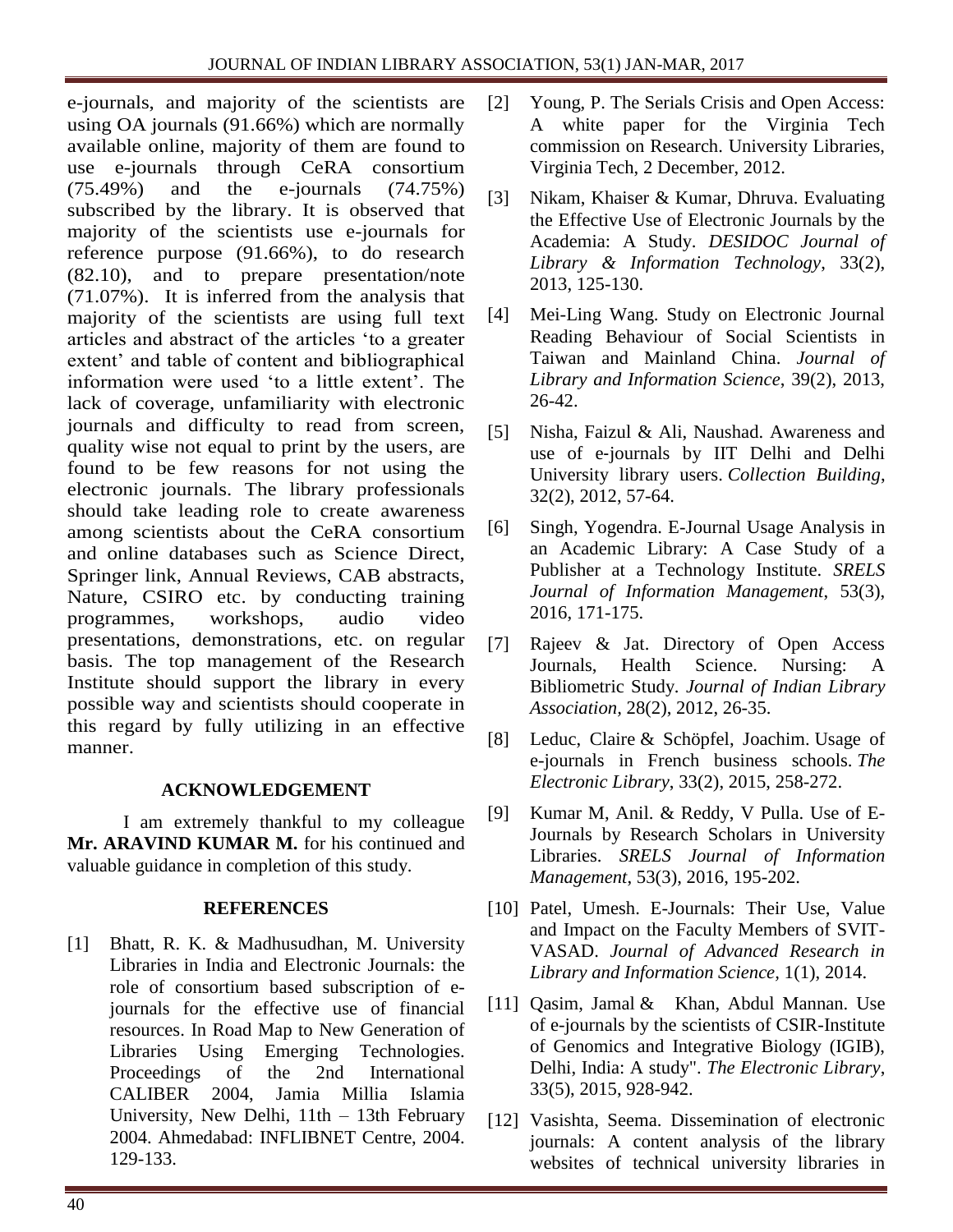e-journals, and majority of the scientists are using OA journals (91.66%) which are normally available online, majority of them are found to use e-journals through CeRA consortium (75.49%) and the e-journals (74.75%) subscribed by the library. It is observed that majority of the scientists use e-journals for reference purpose (91.66%), to do research (82.10), and to prepare presentation/note (71.07%). It is inferred from the analysis that majority of the scientists are using full text articles and abstract of the articles 'to a greater extent' and table of content and bibliographical information were used 'to a little extent'. The lack of coverage, unfamiliarity with electronic journals and difficulty to read from screen, quality wise not equal to print by the users, are found to be few reasons for not using the electronic journals. The library professionals should take leading role to create awareness among scientists about the CeRA consortium and online databases such as Science Direct, Springer link, Annual Reviews, CAB abstracts, Nature, CSIRO etc. by conducting training programmes, workshops, audio video presentations, demonstrations, etc. on regular basis. The top management of the Research Institute should support the library in every possible way and scientists should cooperate in this regard by fully utilizing in an effective manner.

# **ACKNOWLEDGEMENT**

I am extremely thankful to my colleague **Mr. ARAVIND KUMAR M.** for his continued and valuable guidance in completion of this study.

# **REFERENCES**

[1] Bhatt, R. K. & Madhusudhan, M. University Libraries in India and Electronic Journals: the role of consortium based subscription of ejournals for the effective use of financial resources. In Road Map to New Generation of Libraries Using Emerging Technologies. Proceedings of the 2nd International CALIBER 2004, Jamia Millia Islamia University, New Delhi, 11th – 13th February 2004. Ahmedabad: INFLIBNET Centre, 2004. 129-133.

- [2] Young, P. The Serials Crisis and Open Access: A white paper for the Virginia Tech commission on Research. University Libraries, Virginia Tech, 2 December, 2012.
- [3] Nikam, Khaiser & Kumar, Dhruva. Evaluating the Effective Use of Electronic Journals by the Academia: A Study. *DESIDOC Journal of Library & Information Technology*, 33(2), 2013, 125-130.
- [4] Mei-Ling Wang. Study on Electronic Journal Reading Behaviour of Social Scientists in Taiwan and Mainland China. *Journal of Library and Information Science*, 39(2), 2013, 26-42.
- [5] [Nisha,](http://www.emeraldinsight.com/author/Nisha%2C+Faizul) Faizul & [Ali, Naushad.](http://www.emeraldinsight.com/author/Ali%2C+Naushad) Awareness and use of e‐journals by IIT Delhi and Delhi University library users. *Collection Building*, 32(2), 2012, 57-64.
- [6] Singh, Yogendra. E-Journal Usage Analysis in an Academic Library: A Case Study of a Publisher at a Technology Institute. *[SRELS](javascript:openJournalTOCPage()  [Journal of Information Management](javascript:openJournalTOCPage()*, 53(3), 2016, 171-175.
- [7] Rajeev & Jat. Directory of Open Access Journals, Health Science. Nursing: A Bibliometric Study. *Journal of Indian Library Association,* 28(2), 2012, 26-35.
- [8] [Leduc, Claire](http://www.emeraldinsight.com/author/Leduc%2C+Claire) & [Schöpfel, Joachim.](http://www.emeraldinsight.com/author/Sch%C3%B6pfel%2C+Joachim) Usage of e-journals in French business schools. *The Electronic Library*, 33(2), 2015, 258-272.
- [9] [Kumar](javascript:doLateralSearch() M, Anil. & [Reddy,](javascript:doLateralSearch() V Pulla. Use of E-Journals by Research Scholars in University Libraries. *[SRELS Journal of Information](javascript:openJournalTOCPage()  [Management](javascript:openJournalTOCPage()*, 53(3), 2016, 195-202.
- [10] [Patel,](javascript:doLateralSearch() Umesh. E-Journals: Their Use, Value and Impact on the Faculty Members of SVIT-VASAD. *[Journal of Advanced Research in](javascript:openJournalTOCPage()  [Library and Information Science,](javascript:openJournalTOCPage()* 1(1), 2014.
- [11] Oasim, Jamal & [Khan, Abdul Mannan. U](http://www.emeraldinsight.com/author/Khan%2C+Abdul+Mannan)se of e-journals by the scientists of CSIR-Institute of Genomics and Integrative Biology (IGIB), Delhi, India: A study". *The Electronic Library*, 33(5), 2015, 928-942.
- [12] [Vasishta,](http://www.emeraldinsight.com/author/Vasishta%2C+Seema) Seema. Dissemination of electronic journals: A content analysis of the library websites of technical university libraries in